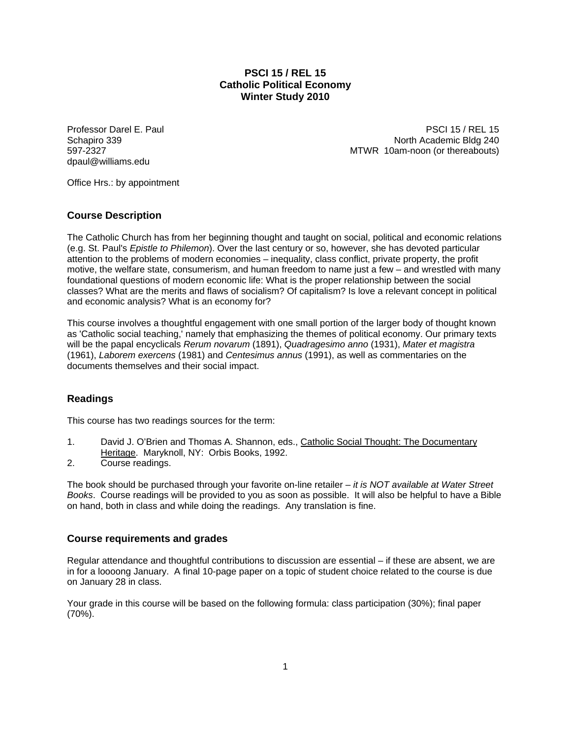# **PSCI 15 / REL 15 Catholic Political Economy Winter Study 2010**

dpaul@williams.edu

Professor Darel E. Paul PSCI 15 / REL 15 Schapiro 339 North Academic Bldg 240 597-2327 MTWR 10am-noon (or thereabouts)

Office Hrs.: by appointment

# **Course Description**

The Catholic Church has from her beginning thought and taught on social, political and economic relations (e.g. St. Paul's *Epistle to Philemon*). Over the last century or so, however, she has devoted particular attention to the problems of modern economies – inequality, class conflict, private property, the profit motive, the welfare state, consumerism, and human freedom to name just a few – and wrestled with many foundational questions of modern economic life: What is the proper relationship between the social classes? What are the merits and flaws of socialism? Of capitalism? Is love a relevant concept in political and economic analysis? What is an economy for?

This course involves a thoughtful engagement with one small portion of the larger body of thought known as 'Catholic social teaching,' namely that emphasizing the themes of political economy. Our primary texts will be the papal encyclicals *Rerum novarum* (1891), *Quadragesimo anno* (1931), *Mater et magistra* (1961), *Laborem exercens* (1981) and *Centesimus annus* (1991), as well as commentaries on the documents themselves and their social impact.

# **Readings**

This course has two readings sources for the term:

- 1. David J. O'Brien and Thomas A. Shannon, eds., Catholic Social Thought: The Documentary Heritage. Maryknoll, NY: Orbis Books, 1992.
- 2. Course readings.

The book should be purchased through your favorite on-line retailer – *it is NOT available at Water Street Books*. Course readings will be provided to you as soon as possible. It will also be helpful to have a Bible on hand, both in class and while doing the readings. Any translation is fine.

# **Course requirements and grades**

Regular attendance and thoughtful contributions to discussion are essential – if these are absent, we are in for a loooong January. A final 10-page paper on a topic of student choice related to the course is due on January 28 in class.

Your grade in this course will be based on the following formula: class participation (30%); final paper (70%).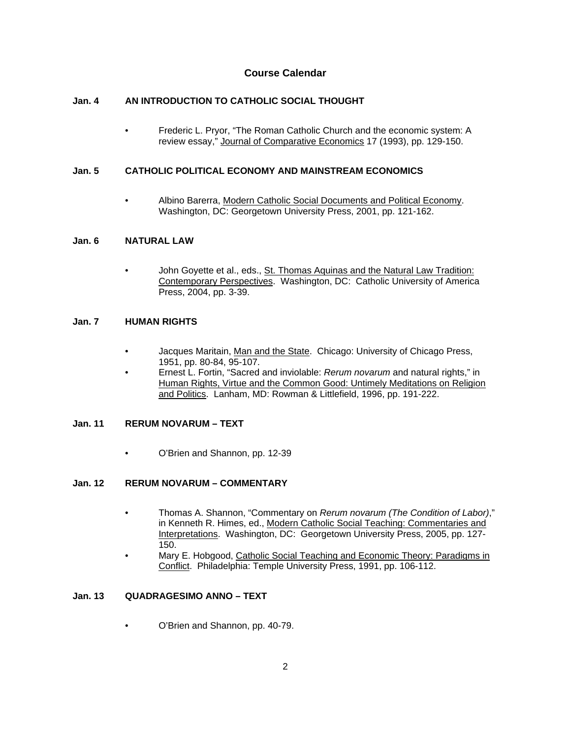# **Course Calendar**

## **Jan. 4 AN INTRODUCTION TO CATHOLIC SOCIAL THOUGHT**

• Frederic L. Pryor, "The Roman Catholic Church and the economic system: A review essay," Journal of Comparative Economics 17 (1993), pp. 129-150.

### **Jan. 5 CATHOLIC POLITICAL ECONOMY AND MAINSTREAM ECONOMICS**

• Albino Barerra, Modern Catholic Social Documents and Political Economy. Washington, DC: Georgetown University Press, 2001, pp. 121-162.

### **Jan. 6 NATURAL LAW**

John Goyette et al., eds., St. Thomas Aquinas and the Natural Law Tradition: Contemporary Perspectives. Washington, DC: Catholic University of America Press, 2004, pp. 3-39.

### **Jan. 7 HUMAN RIGHTS**

- Jacques Maritain, Man and the State. Chicago: University of Chicago Press, 1951, pp. 80-84, 95-107.
- Ernest L. Fortin, "Sacred and inviolable: *Rerum novarum* and natural rights," in Human Rights, Virtue and the Common Good: Untimely Meditations on Religion and Politics. Lanham, MD: Rowman & Littlefield, 1996, pp. 191-222.

### **Jan. 11 RERUM NOVARUM – TEXT**

• O'Brien and Shannon, pp. 12-39

### **Jan. 12 RERUM NOVARUM – COMMENTARY**

- Thomas A. Shannon, "Commentary on *Rerum novarum (The Condition of Labor)*," in Kenneth R. Himes, ed., Modern Catholic Social Teaching: Commentaries and Interpretations. Washington, DC: Georgetown University Press, 2005, pp. 127- 150.
- Mary E. Hobgood, Catholic Social Teaching and Economic Theory: Paradigms in Conflict. Philadelphia: Temple University Press, 1991, pp. 106-112.

# **Jan. 13 QUADRAGESIMO ANNO – TEXT**

• O'Brien and Shannon, pp. 40-79.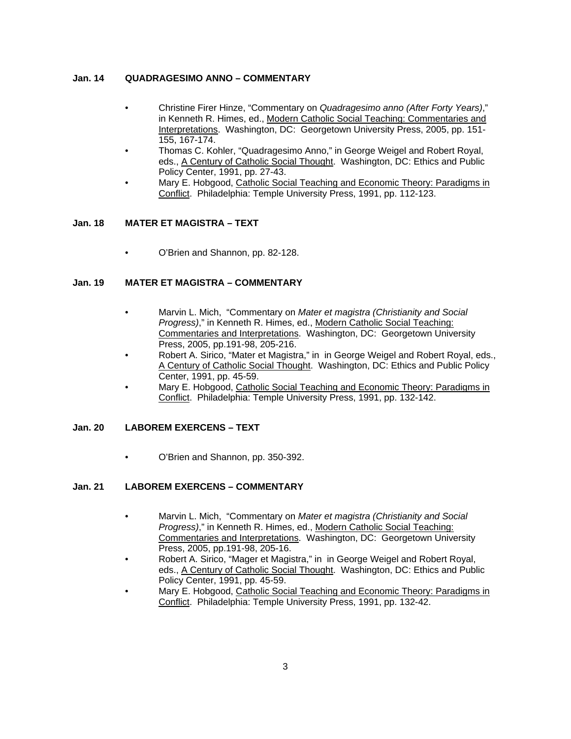#### **Jan. 14 QUADRAGESIMO ANNO – COMMENTARY**

- Christine Firer Hinze, "Commentary on *Quadragesimo anno (After Forty Years)*," in Kenneth R. Himes, ed., Modern Catholic Social Teaching: Commentaries and Interpretations. Washington, DC: Georgetown University Press, 2005, pp. 151-155, 167-174.
- Thomas C. Kohler, "Quadragesimo Anno," in George Weigel and Robert Royal, eds., A Century of Catholic Social Thought. Washington, DC: Ethics and Public Policy Center, 1991, pp. 27-43.
- Mary E. Hobgood, Catholic Social Teaching and Economic Theory: Paradigms in Conflict. Philadelphia: Temple University Press, 1991, pp. 112-123.

#### **Jan. 18 MATER ET MAGISTRA – TEXT**

• O'Brien and Shannon, pp. 82-128.

## **Jan. 19 MATER ET MAGISTRA – COMMENTARY**

- Marvin L. Mich, "Commentary on *Mater et magistra (Christianity and Social Progress)*," in Kenneth R. Himes, ed., Modern Catholic Social Teaching: Commentaries and Interpretations. Washington, DC: Georgetown University Press, 2005, pp.191-98, 205-216.
- Robert A. Sirico, "Mater et Magistra," in in George Weigel and Robert Royal, eds., A Century of Catholic Social Thought. Washington, DC: Ethics and Public Policy Center, 1991, pp. 45-59.
- Mary E. Hobgood, Catholic Social Teaching and Economic Theory: Paradigms in Conflict. Philadelphia: Temple University Press, 1991, pp. 132-142.

#### **Jan. 20 LABOREM EXERCENS – TEXT**

• O'Brien and Shannon, pp. 350-392.

#### **Jan. 21 LABOREM EXERCENS – COMMENTARY**

- Marvin L. Mich, "Commentary on *Mater et magistra (Christianity and Social Progress)*," in Kenneth R. Himes, ed., Modern Catholic Social Teaching: Commentaries and Interpretations. Washington, DC: Georgetown University Press, 2005, pp.191-98, 205-16.
- Robert A. Sirico, "Mager et Magistra," in in George Weigel and Robert Royal, eds., A Century of Catholic Social Thought. Washington, DC: Ethics and Public Policy Center, 1991, pp. 45-59.
- Mary E. Hobgood, Catholic Social Teaching and Economic Theory: Paradigms in Conflict. Philadelphia: Temple University Press, 1991, pp. 132-42.